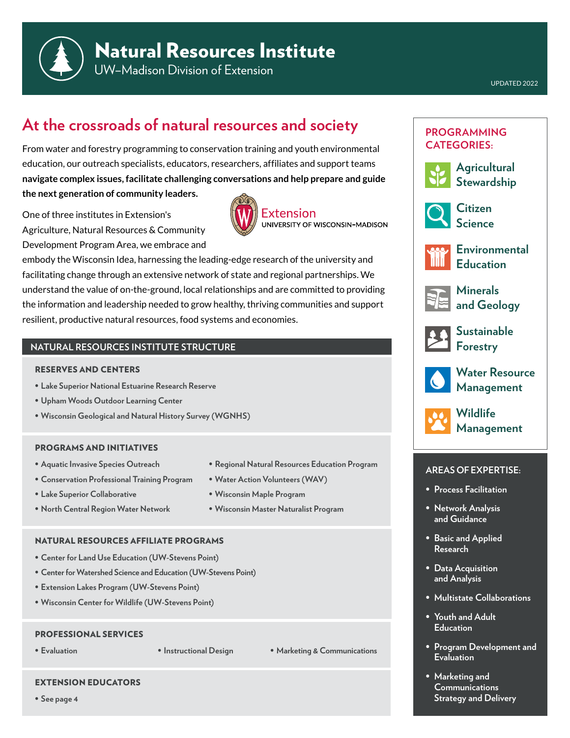

UW–Madison Division of Extension

# **At the crossroads of natural resources and society**

From water and forestry programming to conservation training and youth environmental education, our outreach specialists, educators, researchers, affiliates and support teams **navigate complex issues, facilitate challenging conversations and help prepare and guide the next generation of community leaders.**

One of three institutes in Extension's Agriculture, Natural Resources & Community Development Program Area, we embrace and



embody the Wisconsin Idea, harnessing the leading-edge research of the university and facilitating change through an extensive network of state and regional partnerships. We understand the value of on-the-ground, local relationships and are committed to providing the information and leadership needed to grow healthy, thriving communities and support resilient, productive natural resources, food systems and economies.

# **NATURAL RESOURCES INSTITUTE STRUCTURE**

#### RESERVES AND CENTERS

- **• Lake Superior National Estuarine Research Reserve**
- **• Upham Woods Outdoor Learning Center**
- **• Wisconsin Geological and Natural History Survey (WGNHS)**

#### PROGRAMS AND INITIATIVES

- **• Aquatic Invasive Species Outreach**
- **• Conservation Professional Training Program**
- **• Lake Superior Collaborative**
- **• North Central Region Water Network**
- **• Regional Natural Resources Education Program**
- **• Water Action Volunteers (WAV)**
- **• Wisconsin Maple Program**
- **• Wisconsin Master Naturalist Program**

### NATURAL RESOURCES AFFILIATE PROGRAMS

- **• Center for Land Use Education (UW-Stevens Point)**
- **• Center for Watershed Science and Education (UW-Stevens Point)**
- **• Extension Lakes Program (UW-Stevens Point)**
- **• Wisconsin Center for Wildlife (UW-Stevens Point)**

#### PROFESSIONAL SERVICES

EXTENSION EDUCATORS

**• Evaluation • Instructional Design • Marketing & Communications**

# **PROGRAMMING CATEGORIES:**



**Agricultural Stewardship**



**Citizen Science**



**Environmental Education**



**Minerals and Geology**



**Sustainable Forestry**



**Water Resource Management**



**Wildlife Management**

#### **AREAS OF EXPERTISE:**

- **• Process Facilitation**
- **• Network Analysis and Guidance**
- **• Basic and Applied Research**
- **• Data Acquisition and Analysis**
- **• Multistate Collaborations**
- **• Youth and Adult Education**
- **• Program Development and Evaluation**
- **• Marketing and Communications Strategy and Delivery**

**• See page 4**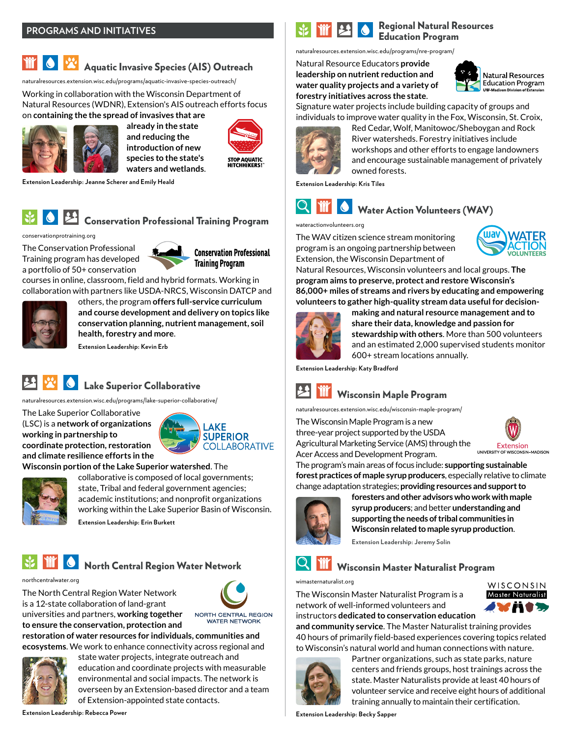## **PROGRAMS AND INITIATIVES**

# Aquatic Invasive Species (AIS) Outreach

[naturalresources.extension.wisc.edu/programs/aquatic-invasive-species-outreach/](https://naturalresources.extension.wisc.edu/programs/aquatic-invasive-species-outreach/)

Working in collaboration with the Wisconsin Department of Natural Resources (WDNR), Extension's AIS outreach efforts focus on **containing the the spread of invasives that are** 



[conservationprotraining.org](https://conservationprotraining.org/)

**Extension Leadership: Jeanne Scherer and Emily Heald**

**already in the state and reducing the introduction of new species to the state's waters and wetlands**.



Regional Natural Resources Education Program

[naturalresources.extension.wisc.edu/programs/nre-program/](https://naturalresources.extension.wisc.edu/programs/nre-program/)

Natural Resource Educators **provide leadership on nutrient reduction and water quality projects and a variety of forestry initiatives across the state**.



Signature water projects include building capacity of groups and individuals to improve water quality in the Fox, Wisconsin, St. Croix,



Red Cedar, Wolf, Manitowoc/Sheboygan and Rock River watersheds. Forestry initiatives include workshops and other efforts to engage landowners and encourage sustainable management of privately owned forests.

**Extension Leadership: Kris Tiles**



[wateractionvolunteers.org](https://wateractionvolunteers.org/)

The WAV citizen science stream monitoring program is an ongoing partnership between Extension, the Wisconsin Department of



Natural Resources, Wisconsin volunteers and local groups. **The program aims to preserve, protect and restore Wisconsin's 86,000+ miles of streams and rivers by educating and empowering volunteers to gather high-quality stream data useful for decision-**



**making and natural resource management and to share their data, knowledge and passion for stewardship with others**. More than 500 volunteers and an estimated 2,000 supervised students monitor 600+ stream locations annually.

**Extension Leadership: Katy Bradford**



[naturalresources.extension.wisc.edu/wisconsin-maple-program/](https://naturalresources.extension.wisc.edu/wisconsin-maple-program/)

The Wisconsin Maple Program is a new three-year project supported by the USDA Agricultural Marketing Service (AMS) through the Acer Access and Development Program.



The program's main areas of focus include: **supporting sustainable forest practices of maple syrup producers**, especially relative to climate change adaptation strategies; **providing resources and support to** 



**foresters and other advisors who work with maple syrup producers**; and better **understanding and supporting the needs of tribal communities in Wisconsin related to maple syrup production**.

**Extension Leadership: Jeremy Solin**

Wisconsin Master Naturalist Program

[wimasternaturalist.org](https://wimasternaturalist.org/)

The Wisconsin Master Naturalist Program is a network of well-informed volunteers and instructors **dedicated to conservation education** 



**and community service**. The Master Naturalist training provides 40 hours of primarily field-based experiences covering topics related to Wisconsin's natural world and human connections with nature.



Partner organizations, such as state parks, nature centers and friends groups, host trainings across the state. Master Naturalists provide at least 40 hours of volunteer service and receive eight hours of additional training annually to maintain their certification.

**Extension Leadership: Becky Sapper**



collaborative is composed of local governments; state, Tribal and federal government agencies; academic institutions; and nonprofit organizations working within the Lake Superior Basin of Wisconsin.

**Extension Leadership: Erin Burkett**

# North Central Region Water Network



The North Central Region Water Network is a 12-state collaboration of land-grant universities and partners, **working together** 

**to ensure the conservation, protection and** 



NORTH CENTRAL REGION **WATER NETWORK** 

**restoration of water resources for individuals, communities and ecosystems**. We work to enhance connectivity across regional and



state water projects, integrate outreach and education and coordinate projects with measurable environmental and social impacts. The network is overseen by an Extension-based director and a team of Extension-appointed state contacts.

**Extension Leadership: Rebecca Power**



**Conservation Professional Training Program** 

courses in online, classroom, field and hybrid formats. Working in collaboration with partners like USDA-NRCS, Wisconsin DATCP and



others, the program **offers full-service curriculum and course development and delivery on topics like conservation planning, nutrient management, soil health, forestry and more**.

Conservation Professional Training Program

**Extension Leadership: Kevin Erb**

# **Lake Superior Collaborative**

[naturalresources.extension.wisc.edu/programs/lake-superior-collaborative/](https://naturalresources.extension.wisc.edu/programs/lake-superior-collaborative/)

The Lake Superior Collaborative (LSC) is a **network of organizations working in partnership to coordinate protection, restoration and climate resilience efforts in the** 



## **Wisconsin portion of the Lake Superior watershed**. The

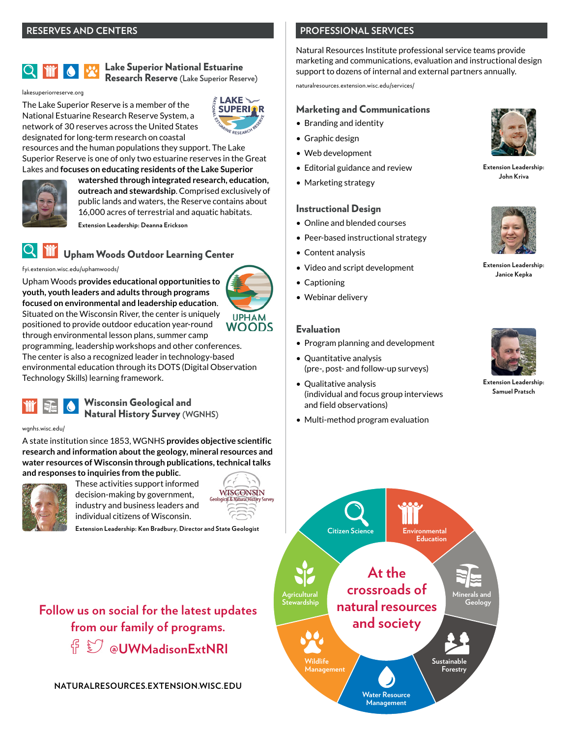# **10** T

#### Lake Superior National Estuarine Research Reserve **(Lake Superior Reserve)**

[lakesuperiorreserve.org](https://lakesuperiorreserve.org/)

The Lake Superior Reserve is a member of the National Estuarine Research Reserve System, a network of 30 reserves across the United States designated for long-term research on coastal



**UPHAM** 

resources and the human populations they support. The Lake Superior Reserve is one of only two estuarine reserves in the Great Lakes and **focuses on educating residents of the Lake Superior**



**watershed through integrated research, education, outreach and stewardship**. Comprised exclusively of public lands and waters, the Reserve contains about 16,000 acres of terrestrial and aquatic habitats.

**Extension Leadership: Deanna Erickson**

# Upham Woods Outdoor Learning Cen[ter](https://fyi.extension.wisc.edu/uphamwoods/)

[fyi.extension.wisc.edu/uphamwoods/](https://fyi.extension.wisc.edu/uphamwoods/)

Upham Woods **provides educational opportunities to youth, youth leaders and adults through programs focused on environmental and leadership education**. Situated on the Wisconsin River, the center is uniquely positioned to provide outdoor education year-round **WOODS** through environmental lesson plans, summer camp

programming, leadership workshops and other conferences. The center is also a recognized leader in technology-based environmental education through its DOTS (Digital Observation Technology Skills) learning framework.



#### [wgnhs.wisc.edu/](https://wgnhs.wisc.edu/)

A state institution since 1853, WGNHS **provides objective scientific research and information about the geology, mineral resources and water resources of Wisconsin through publications, technical talks and responses to inquiries from the public**.



These activities support informed decision-making by government, industry and business leaders and individual citizens of Wisconsin.

**Extension Leadership: Ken Bradbury, Director and State Geologist**

**Follow us on social for the latest updates from our family of programs. [@UWMadisonExtNRI](https://twitter.com/UWMadisonExtNRI)**

**[NATURALRESOURCES.EXTENSION.WISC.EDU](https://naturalresources.extension.wisc.edu/)**

# **PROFESSIONAL SERVICES**

Natural Resources Institute professional service teams provide marketing and communications, evaluation and instructional design support to dozens of internal and external partners annually.

[naturalresources.extension.wisc.edu/services/](https://naturalresources.extension.wisc.edu/services/)

#### Marketing and Communications

- Branding and identity
- Graphic design
- Web development
- Editorial guidance and review
- Marketing strategy

#### Instructional Design

- Online and blended courses
- Peer-based instructional strategy
- Content analysis
- Video and script development
- Captioning
- Webinar delivery

# Evaluation

- Program planning and development
- Quantitative analysis (pre-, post- and follow-up surveys)
- Qualitative analysis (individual and focus group interviews and field observations)
- Multi-method program evaluation



**Extension Leadership: John Kriva**



**Extension Leadership: Janice Kepka**



**Extension Leadership: Samuel Pratsch**